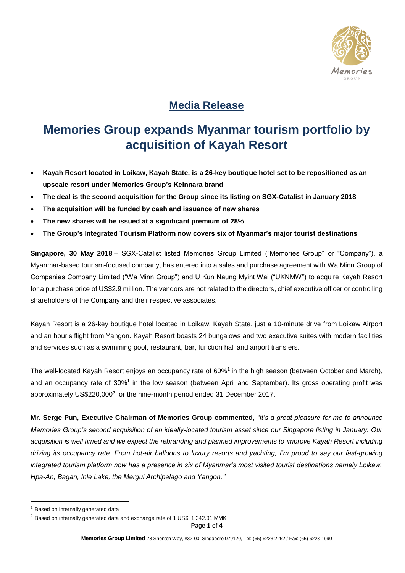

## **Media Release**

## **Memories Group expands Myanmar tourism portfolio by acquisition of Kayah Resort**

- **Kayah Resort located in Loikaw, Kayah State, is a 26-key boutique hotel set to be repositioned as an upscale resort under Memories Group's Keinnara brand**
- **The deal is the second acquisition for the Group since its listing on SGX-Catalist in January 2018**
- **The acquisition will be funded by cash and issuance of new shares**
- **The new shares will be issued at a significant premium of 28%**
- **The Group's Integrated Tourism Platform now covers six of Myanmar's major tourist destinations**

**Singapore, 30 May 2018** – SGX-Catalist listed Memories Group Limited ("Memories Group" or "Company"), a Myanmar-based tourism-focused company, has entered into a sales and purchase agreement with Wa Minn Group of Companies Company Limited ("Wa Minn Group") and U Kun Naung Myint Wai ("UKNMW") to acquire Kayah Resort for a purchase price of US\$2.9 million. The vendors are not related to the directors, chief executive officer or controlling shareholders of the Company and their respective associates.

Kayah Resort is a 26-key boutique hotel located in Loikaw, Kayah State, just a 10-minute drive from Loikaw Airport and an hour's flight from Yangon. Kayah Resort boasts 24 bungalows and two executive suites with modern facilities and services such as a swimming pool, restaurant, bar, function hall and airport transfers.

The well-located Kayah Resort enjoys an occupancy rate of 60%<sup>1</sup> in the high season (between October and March), and an occupancy rate of 30%<sup>1</sup> in the low season (between April and September). Its gross operating profit was approximately US\$220,000<sup>2</sup> for the nine-month period ended 31 December 2017.

**Mr. Serge Pun, Executive Chairman of Memories Group commented,** *"It's a great pleasure for me to announce Memories Group's second acquisition of an ideally-located tourism asset since our Singapore listing in January. Our*  acquisition is well timed and we expect the rebranding and planned improvements to improve Kayah Resort including *driving its occupancy rate. From hot-air balloons to luxury resorts and yachting, I'm proud to say our fast-growing integrated tourism platform now has a presence in six of Myanmar's most visited tourist destinations namely Loikaw, Hpa-An, Bagan, Inle Lake, the Mergui Archipelago and Yangon."*

<u>.</u>

 $<sup>1</sup>$  Based on internally generated data</sup>

 $2$  Based on internally generated data and exchange rate of 1 US\$: 1,342.01 MMK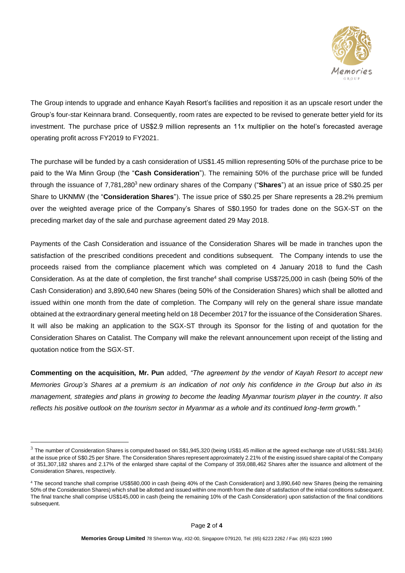

The Group intends to upgrade and enhance Kayah Resort's facilities and reposition it as an upscale resort under the Group's four-star Keinnara brand. Consequently, room rates are expected to be revised to generate better yield for its investment. The purchase price of US\$2.9 million represents an 11x multiplier on the hotel's forecasted average operating profit across FY2019 to FY2021.

The purchase will be funded by a cash consideration of US\$1.45 million representing 50% of the purchase price to be paid to the Wa Minn Group (the "**Cash Consideration**"). The remaining 50% of the purchase price will be funded through the issuance of 7,781,280<sup>3</sup> new ordinary shares of the Company ("**Shares**") at an issue price of S\$0.25 per Share to UKNMW (the "**Consideration Shares**"). The issue price of S\$0.25 per Share represents a 28.2% premium over the weighted average price of the Company's Shares of S\$0.1950 for trades done on the SGX-ST on the preceding market day of the sale and purchase agreement dated 29 May 2018.

Payments of the Cash Consideration and issuance of the Consideration Shares will be made in tranches upon the satisfaction of the prescribed conditions precedent and conditions subsequent. The Company intends to use the proceeds raised from the compliance placement which was completed on 4 January 2018 to fund the Cash Consideration. As at the date of completion, the first tranche<sup>4</sup> shall comprise US\$725,000 in cash (being 50% of the Cash Consideration) and 3,890,640 new Shares (being 50% of the Consideration Shares) which shall be allotted and issued within one month from the date of completion. The Company will rely on the general share issue mandate obtained at the extraordinary general meeting held on 18 December 2017 for the issuance of the Consideration Shares. It will also be making an application to the SGX-ST through its Sponsor for the listing of and quotation for the Consideration Shares on Catalist. The Company will make the relevant announcement upon receipt of the listing and quotation notice from the SGX-ST.

**Commenting on the acquisition, Mr. Pun** added, *"The agreement by the vendor of Kayah Resort to accept new Memories Group's Shares at a premium is an indication of not only his confidence in the Group but also in its management, strategies and plans in growing to become the leading Myanmar tourism player in the country. It also reflects his positive outlook on the tourism sector in Myanmar as a whole and its continued long-term growth."*

<u>.</u>

<sup>3</sup> The number of Consideration Shares is computed based on S\$1,945,320 (being US\$1.45 million at the agreed exchange rate of US\$1:S\$1.3416) at the issue price of S\$0.25 per Share. The Consideration Shares represent approximately 2.21% of the existing issued share capital of the Company of 351,307,182 shares and 2.17% of the enlarged share capital of the Company of 359,088,462 Shares after the issuance and allotment of the Consideration Shares, respectively.

<sup>4</sup> The second tranche shall comprise US\$580,000 in cash (being 40% of the Cash Consideration) and 3,890,640 new Shares (being the remaining 50% of the Consideration Shares) which shall be allotted and issued within one month from the date of satisfaction of the initial conditions subsequent. The final tranche shall comprise US\$145,000 in cash (being the remaining 10% of the Cash Consideration) upon satisfaction of the final conditions subsequent.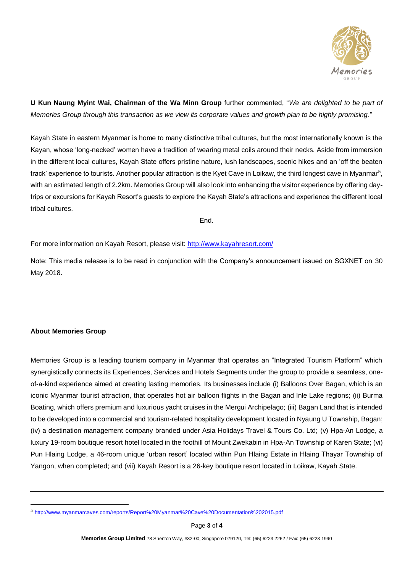

**U Kun Naung Myint Wai, Chairman of the Wa Minn Group** further commented, "*We are delighted to be part of Memories Group through this transaction as we view its corporate values and growth plan to be highly promising.*"

Kayah State in eastern Myanmar is home to many distinctive tribal cultures, but the most internationally known is the Kayan, whose 'long-necked' women have a tradition of wearing metal coils around their necks. Aside from immersion in the different local cultures, Kayah State offers pristine nature, lush landscapes, scenic hikes and an 'off the beaten track' experience to tourists. Another popular attraction is the Kyet Cave in Loikaw, the third longest cave in Myanmar<sup>5</sup>, with an estimated length of 2.2km. Memories Group will also look into enhancing the visitor experience by offering daytrips or excursions for Kayah Resort's guests to explore the Kayah State's attractions and experience the different local tribal cultures.

End.

For more information on Kayah Resort, please visit: http://www.kayahresort.com/

Note: This media release is to be read in conjunction with the Company's announcement issued on SGXNET on 30 May 2018.

## **About Memories Group**

1

Memories Group is a leading tourism company in Myanmar that operates an "Integrated Tourism Platform" which synergistically connects its Experiences, Services and Hotels Segments under the group to provide a seamless, oneof-a-kind experience aimed at creating lasting memories. Its businesses include (i) Balloons Over Bagan, which is an iconic Myanmar tourist attraction, that operates hot air balloon flights in the Bagan and Inle Lake regions; (ii) Burma Boating, which offers premium and luxurious yacht cruises in the Mergui Archipelago; (iii) Bagan Land that is intended to be developed into a commercial and tourism-related hospitality development located in Nyaung U Township, Bagan; (iv) a destination management company branded under Asia Holidays Travel & Tours Co. Ltd; (v) Hpa-An Lodge, a luxury 19-room boutique resort hotel located in the foothill of Mount Zwekabin in Hpa-An Township of Karen State; (vi) Pun Hlaing Lodge, a 46-room unique 'urban resort' located within Pun Hlaing Estate in Hlaing Thayar Township of Yangon, when completed; and (vii) Kayah Resort is a 26-key boutique resort located in Loikaw, Kayah State.

<sup>5</sup> http://www.myanmarcaves.com/reports/Report%20Myanmar%20Cave%20Documentation%202015.pdf